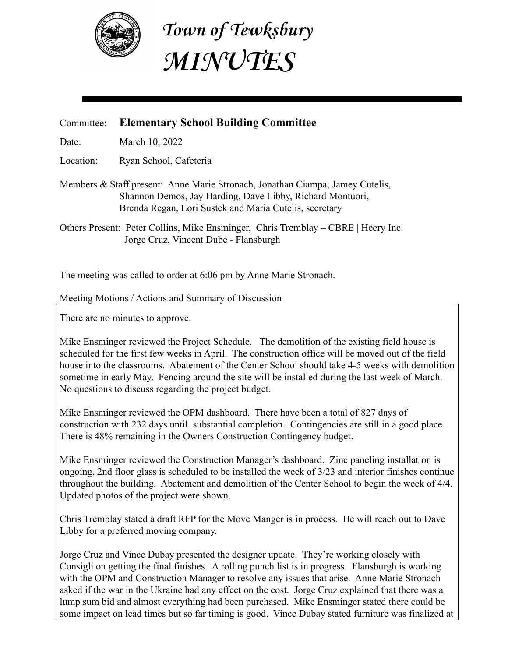

**Town of Tewksbury MINUTES**

## Committee: **Elementary School Building Committee**

Date: March 10, 2022

Location: Ryan School, Cafeteria

Members & Staff present: Anne Marie Stronach, Jonathan Ciampa, Jamey Cutelis, Shannon Demos, Jay Harding, Dave Libby, Richard Montuori, Brenda Regan, Lori Sustek and Maria Cutelis, secretary

Others Present: Peter Collins, Mike Ensminger, Chris Tremblay – CBRE | Heery Inc. Jorge Cruz, Vincent Dube - Flansburgh

The meeting was called to order at 6:06 pm by Anne Marie Stronach.

## Meeting Motions / Actions and Summary of Discussion

There are no minutes to approve.

Mike Ensminger reviewed the Project Schedule. The demolition of the existing field house is scheduled for the first few weeks in April. The construction office will be moved out of the field house into the classrooms. Abatement of the Center School should take 4-5 weeks with demolition sometime in early May. Fencing around the site will be installed during the last week of March. No questions to discuss regarding the project budget.

Mike Ensminger reviewed the OPM dashboard. There have been a total of 827 days of construction with 232 days until substantial completion. Contingencies are still in a good place. There is 48% remaining in the Owners Construction Contingency budget.

Mike Ensminger reviewed the Construction Manager's dashboard. Zinc paneling installation is ongoing, 2nd floor glass is scheduled to be installed the week of 3/23 and interior finishes continue throughout the building. Abatement and demolition of the Center School to begin the week of 4/4. Updated photos of the project were shown.

Chris Tremblay stated a draft RFP for the Move Manger is in process. He will reach out to Dave Libby for a preferred moving company.

Jorge Cruz and Vince Dubay presented the designer update. They're working closely with Consigli on getting the final finishes. A rolling punch list is in progress. Flansburgh is working with the OPM and Construction Manager to resolve any issues that arise. Anne Marie Stronach asked if the war in the Ukraine had any effect on the cost. Jorge Cruz explained that there was a lump sum bid and almost everything had been purchased. Mike Ensminger stated there could be some impact on lead times but so far timing is good. Vince Dubay stated furniture was finalized at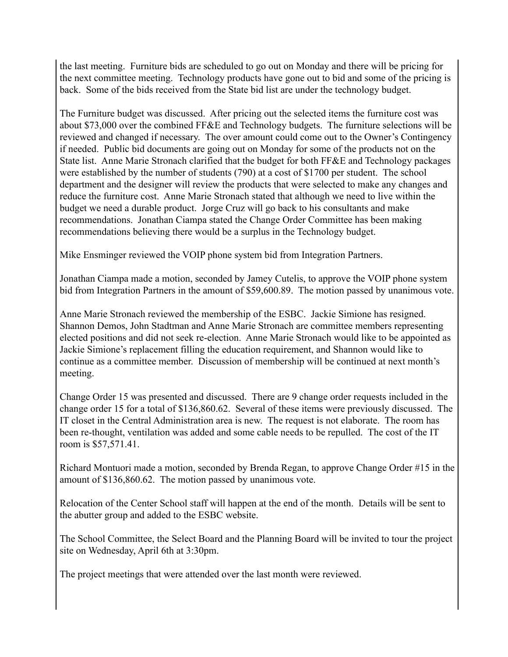the last meeting. Furniture bids are scheduled to go out on Monday and there will be pricing for the next committee meeting. Technology products have gone out to bid and some of the pricing is back. Some of the bids received from the State bid list are under the technology budget.

The Furniture budget was discussed. After pricing out the selected items the furniture cost was about \$73,000 over the combined FF&E and Technology budgets. The furniture selections will be reviewed and changed if necessary. The over amount could come out to the Owner's Contingency if needed. Public bid documents are going out on Monday for some of the products not on the State list. Anne Marie Stronach clarified that the budget for both FF&E and Technology packages were established by the number of students (790) at a cost of \$1700 per student. The school department and the designer will review the products that were selected to make any changes and reduce the furniture cost. Anne Marie Stronach stated that although we need to live within the budget we need a durable product. Jorge Cruz will go back to his consultants and make recommendations. Jonathan Ciampa stated the Change Order Committee has been making recommendations believing there would be a surplus in the Technology budget.

Mike Ensminger reviewed the VOIP phone system bid from Integration Partners.

Jonathan Ciampa made a motion, seconded by Jamey Cutelis, to approve the VOIP phone system bid from Integration Partners in the amount of \$59,600.89. The motion passed by unanimous vote.

Anne Marie Stronach reviewed the membership of the ESBC. Jackie Simione has resigned. Shannon Demos, John Stadtman and Anne Marie Stronach are committee members representing elected positions and did not seek re-election. Anne Marie Stronach would like to be appointed as Jackie Simione's replacement filling the education requirement, and Shannon would like to continue as a committee member. Discussion of membership will be continued at next month's meeting.

Change Order 15 was presented and discussed. There are 9 change order requests included in the change order 15 for a total of \$136,860.62. Several of these items were previously discussed. The IT closet in the Central Administration area is new. The request is not elaborate. The room has been re-thought, ventilation was added and some cable needs to be repulled. The cost of the IT room is \$57,571.41.

Richard Montuori made a motion, seconded by Brenda Regan, to approve Change Order #15 in the amount of \$136,860.62. The motion passed by unanimous vote.

Relocation of the Center School staff will happen at the end of the month. Details will be sent to the abutter group and added to the ESBC website.

The School Committee, the Select Board and the Planning Board will be invited to tour the project site on Wednesday, April 6th at 3:30pm.

The project meetings that were attended over the last month were reviewed.